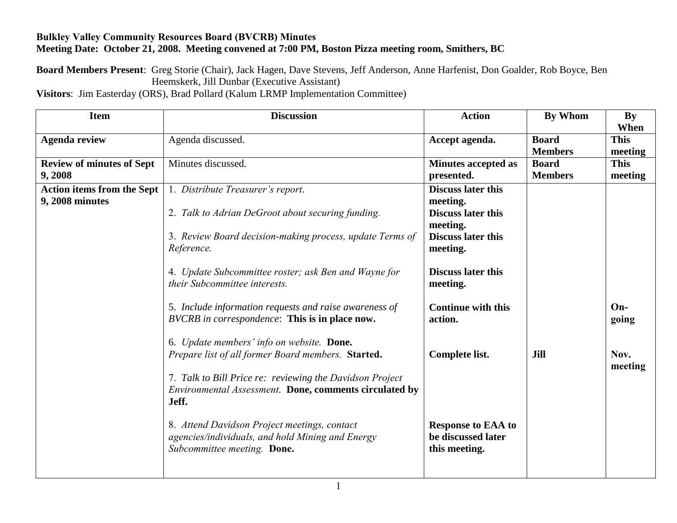## **Bulkley Valley Community Resources Board (BVCRB) Minutes Meeting Date: October 21, 2008. Meeting convened at 7:00 PM, Boston Pizza meeting room, Smithers, BC**

**Board Members Present**: Greg Storie (Chair), Jack Hagen, Dave Stevens, Jeff Anderson, Anne Harfenist, Don Goalder, Rob Boyce, Ben Heemskerk, Jill Dunbar (Executive Assistant)

**Visitors**: Jim Easterday (ORS), Brad Pollard (Kalum LRMP Implementation Committee)

| <b>Item</b>                       | <b>Discussion</b>                                                                                                                                                                                                                                                                                                                                                                                                   | <b>Action</b>                                                                                 | By Whom        | <b>By</b>                |
|-----------------------------------|---------------------------------------------------------------------------------------------------------------------------------------------------------------------------------------------------------------------------------------------------------------------------------------------------------------------------------------------------------------------------------------------------------------------|-----------------------------------------------------------------------------------------------|----------------|--------------------------|
|                                   |                                                                                                                                                                                                                                                                                                                                                                                                                     |                                                                                               |                | When                     |
| <b>Agenda review</b>              | Agenda discussed.                                                                                                                                                                                                                                                                                                                                                                                                   | Accept agenda.                                                                                | <b>Board</b>   | <b>This</b>              |
|                                   |                                                                                                                                                                                                                                                                                                                                                                                                                     |                                                                                               | <b>Members</b> | meeting                  |
| <b>Review of minutes of Sept</b>  | Minutes discussed.                                                                                                                                                                                                                                                                                                                                                                                                  | <b>Minutes accepted as</b>                                                                    | <b>Board</b>   | <b>This</b>              |
| 9,2008                            |                                                                                                                                                                                                                                                                                                                                                                                                                     | presented.                                                                                    | <b>Members</b> | meeting                  |
| <b>Action items from the Sept</b> | 1. Distribute Treasurer's report.                                                                                                                                                                                                                                                                                                                                                                                   | <b>Discuss later this</b>                                                                     |                |                          |
| 9, 2008 minutes                   |                                                                                                                                                                                                                                                                                                                                                                                                                     | meeting.                                                                                      |                |                          |
|                                   | 2. Talk to Adrian DeGroot about securing funding.                                                                                                                                                                                                                                                                                                                                                                   | <b>Discuss later this</b>                                                                     |                |                          |
|                                   |                                                                                                                                                                                                                                                                                                                                                                                                                     | meeting.                                                                                      |                |                          |
|                                   | 3. Review Board decision-making process, update Terms of                                                                                                                                                                                                                                                                                                                                                            | <b>Discuss later this</b>                                                                     |                |                          |
|                                   | Reference.                                                                                                                                                                                                                                                                                                                                                                                                          | meeting.                                                                                      |                |                          |
|                                   |                                                                                                                                                                                                                                                                                                                                                                                                                     |                                                                                               |                |                          |
|                                   | 4. Update Subcommittee roster; ask Ben and Wayne for                                                                                                                                                                                                                                                                                                                                                                | <b>Discuss later this</b>                                                                     |                |                          |
|                                   | their Subcommittee interests.                                                                                                                                                                                                                                                                                                                                                                                       | meeting.                                                                                      |                |                          |
|                                   |                                                                                                                                                                                                                                                                                                                                                                                                                     |                                                                                               |                |                          |
|                                   | 5. Include information requests and raise awareness of                                                                                                                                                                                                                                                                                                                                                              | <b>Continue with this</b>                                                                     |                | $On-$                    |
|                                   |                                                                                                                                                                                                                                                                                                                                                                                                                     |                                                                                               |                |                          |
|                                   |                                                                                                                                                                                                                                                                                                                                                                                                                     |                                                                                               |                |                          |
|                                   |                                                                                                                                                                                                                                                                                                                                                                                                                     |                                                                                               |                |                          |
|                                   |                                                                                                                                                                                                                                                                                                                                                                                                                     |                                                                                               |                |                          |
|                                   |                                                                                                                                                                                                                                                                                                                                                                                                                     |                                                                                               |                |                          |
|                                   |                                                                                                                                                                                                                                                                                                                                                                                                                     |                                                                                               |                |                          |
|                                   |                                                                                                                                                                                                                                                                                                                                                                                                                     |                                                                                               |                |                          |
|                                   |                                                                                                                                                                                                                                                                                                                                                                                                                     |                                                                                               |                |                          |
|                                   |                                                                                                                                                                                                                                                                                                                                                                                                                     |                                                                                               |                |                          |
|                                   |                                                                                                                                                                                                                                                                                                                                                                                                                     |                                                                                               |                |                          |
|                                   |                                                                                                                                                                                                                                                                                                                                                                                                                     |                                                                                               |                |                          |
|                                   |                                                                                                                                                                                                                                                                                                                                                                                                                     |                                                                                               |                |                          |
|                                   |                                                                                                                                                                                                                                                                                                                                                                                                                     |                                                                                               |                |                          |
|                                   | BVCRB in correspondence: This is in place now.<br>6. Update members' info on website. Done.<br>Prepare list of all former Board members. Started.<br>7. Talk to Bill Price re: reviewing the Davidson Project<br>Environmental Assessment. Done, comments circulated by<br>Jeff.<br>8. Attend Davidson Project meetings, contact<br>agencies/individuals, and hold Mining and Energy<br>Subcommittee meeting. Done. | action.<br>Complete list.<br><b>Response to EAA to</b><br>be discussed later<br>this meeting. | Jill           | going<br>Nov.<br>meeting |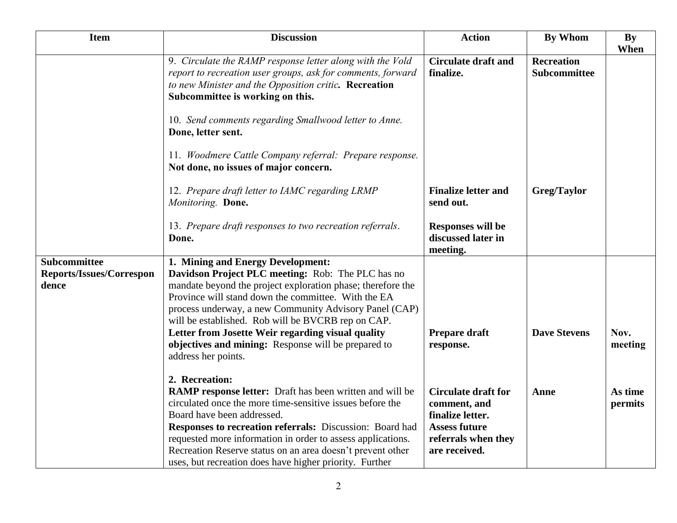| <b>Item</b>                     | <b>Discussion</b>                                                                                                                                                                                                     | <b>Action</b>                                              | <b>By Whom</b>                    | <b>By</b> |
|---------------------------------|-----------------------------------------------------------------------------------------------------------------------------------------------------------------------------------------------------------------------|------------------------------------------------------------|-----------------------------------|-----------|
|                                 | 9. Circulate the RAMP response letter along with the Vold<br>report to recreation user groups, ask for comments, forward<br>to new Minister and the Opposition critic. Recreation<br>Subcommittee is working on this. | <b>Circulate draft and</b><br>finalize.                    | <b>Recreation</b><br>Subcommittee | When      |
|                                 | 10. Send comments regarding Smallwood letter to Anne.<br>Done, letter sent.                                                                                                                                           |                                                            |                                   |           |
|                                 | 11. Woodmere Cattle Company referral: Prepare response.<br>Not done, no issues of major concern.                                                                                                                      |                                                            |                                   |           |
|                                 | 12. Prepare draft letter to IAMC regarding LRMP<br>Monitoring. Done.                                                                                                                                                  | <b>Finalize letter and</b><br>send out.                    | Greg/Taylor                       |           |
|                                 | 13. Prepare draft responses to two recreation referrals.<br>Done.                                                                                                                                                     | <b>Responses will be</b><br>discussed later in<br>meeting. |                                   |           |
| <b>Subcommittee</b>             | 1. Mining and Energy Development:                                                                                                                                                                                     |                                                            |                                   |           |
| <b>Reports/Issues/Correspon</b> | Davidson Project PLC meeting: Rob: The PLC has no                                                                                                                                                                     |                                                            |                                   |           |
| dence                           | mandate beyond the project exploration phase; therefore the<br>Province will stand down the committee. With the EA                                                                                                    |                                                            |                                   |           |
|                                 | process underway, a new Community Advisory Panel (CAP)                                                                                                                                                                |                                                            |                                   |           |
|                                 | will be established. Rob will be BVCRB rep on CAP.                                                                                                                                                                    |                                                            |                                   |           |
|                                 | Letter from Josette Weir regarding visual quality                                                                                                                                                                     | Prepare draft                                              | <b>Dave Stevens</b>               | Nov.      |
|                                 | objectives and mining: Response will be prepared to                                                                                                                                                                   | response.                                                  |                                   | meeting   |
|                                 | address her points.                                                                                                                                                                                                   |                                                            |                                   |           |
|                                 | 2. Recreation:                                                                                                                                                                                                        |                                                            |                                   |           |
|                                 | RAMP response letter: Draft has been written and will be                                                                                                                                                              | <b>Circulate draft for</b>                                 | Anne                              | As time   |
|                                 | circulated once the more time-sensitive issues before the                                                                                                                                                             | comment, and                                               |                                   | permits   |
|                                 | Board have been addressed.                                                                                                                                                                                            | finalize letter.                                           |                                   |           |
|                                 | <b>Responses to recreation referrals:</b> Discussion: Board had                                                                                                                                                       | <b>Assess future</b>                                       |                                   |           |
|                                 | requested more information in order to assess applications.<br>Recreation Reserve status on an area doesn't prevent other                                                                                             | referrals when they<br>are received.                       |                                   |           |
|                                 | uses, but recreation does have higher priority. Further                                                                                                                                                               |                                                            |                                   |           |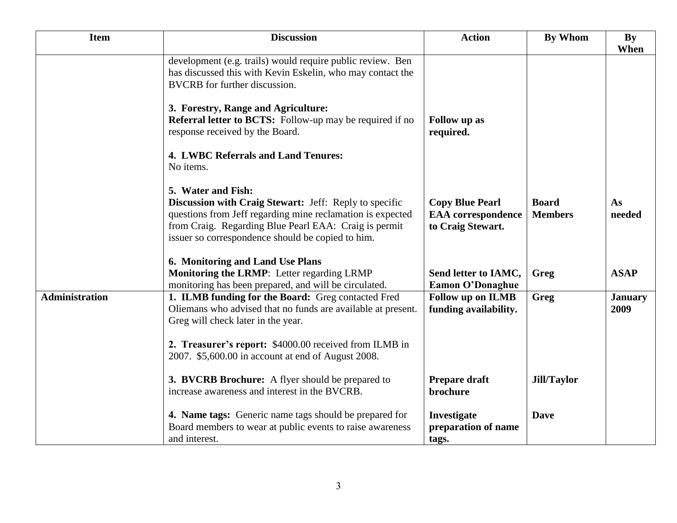| <b>Item</b>           | <b>Discussion</b>                                                                                                                                                                                                                                                                                                                                    | <b>Action</b>                                                            | <b>By Whom</b>                 | <b>By</b><br>When      |
|-----------------------|------------------------------------------------------------------------------------------------------------------------------------------------------------------------------------------------------------------------------------------------------------------------------------------------------------------------------------------------------|--------------------------------------------------------------------------|--------------------------------|------------------------|
|                       | development (e.g. trails) would require public review. Ben<br>has discussed this with Kevin Eskelin, who may contact the<br><b>BVCRB</b> for further discussion.<br>3. Forestry, Range and Agriculture:<br><b>Referral letter to BCTS:</b> Follow-up may be required if no<br>response received by the Board.<br>4. LWBC Referrals and Land Tenures: | Follow up as<br>required.                                                |                                |                        |
|                       | No items.<br>5. Water and Fish:<br>Discussion with Craig Stewart: Jeff: Reply to specific<br>questions from Jeff regarding mine reclamation is expected<br>from Craig. Regarding Blue Pearl EAA: Craig is permit<br>issuer so correspondence should be copied to him.                                                                                | <b>Copy Blue Pearl</b><br><b>EAA</b> correspondence<br>to Craig Stewart. | <b>Board</b><br><b>Members</b> | As<br>needed           |
|                       | 6. Monitoring and Land Use Plans<br>Monitoring the LRMP: Letter regarding LRMP<br>monitoring has been prepared, and will be circulated.                                                                                                                                                                                                              | Send letter to IAMC,<br><b>Eamon O'Donaghue</b>                          | Greg                           | <b>ASAP</b>            |
| <b>Administration</b> | 1. ILMB funding for the Board: Greg contacted Fred<br>Oliemans who advised that no funds are available at present.<br>Greg will check later in the year.<br>2. Treasurer's report: \$4000.00 received from ILMB in<br>2007. \$5,600.00 in account at end of August 2008.                                                                             | <b>Follow up on ILMB</b><br>funding availability.                        | Greg                           | <b>January</b><br>2009 |
|                       | 3. BVCRB Brochure: A flyer should be prepared to<br>increase awareness and interest in the BVCRB.                                                                                                                                                                                                                                                    | Prepare draft<br>brochure                                                | <b>Jill/Taylor</b>             |                        |
|                       | 4. Name tags: Generic name tags should be prepared for<br>Board members to wear at public events to raise awareness<br>and interest.                                                                                                                                                                                                                 | Investigate<br>preparation of name<br>tags.                              | <b>Dave</b>                    |                        |